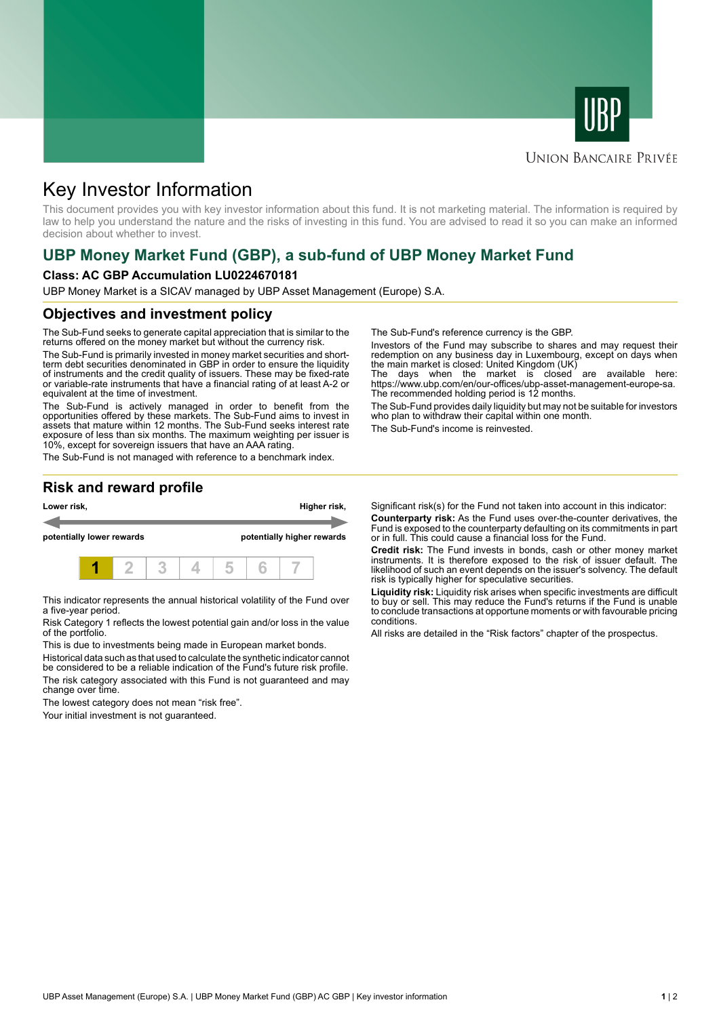



### **UNION BANCAIRE PRIVÉE**

# Key Investor Information

This document provides you with key investor information about this fund. It is not marketing material. The information is required by law to help you understand the nature and the risks of investing in this fund. You are advised to read it so you can make an informed decision about whether to invest.

# **UBP Money Market Fund (GBP), a sub-fund of UBP Money Market Fund**

#### **Class: AC GBP Accumulation LU0224670181**

UBP Money Market is a SICAV managed by UBP Asset Management (Europe) S.A.

#### **Objectives and investment policy**

The Sub-Fund seeks to generate capital appreciation that is similar to the returns offered on the money market but without the currency risk.

The Sub-Fund is primarily invested in money market securities and shortterm debt securities denominated in GBP in order to ensure the liquidity of instruments and the credit quality of issuers. These may be fixed-rate or variable-rate instruments that have a financial rating of at least A-2 or equivalent at the time of investment.

The Sub-Fund is actively managed in order to benefit from the opportunities offered by these markets. The Sub-Fund aims to invest in assets that mature within 12 months. The Sub-Fund seeks interest rate exposure of less than six months. The maximum weighting per issuer is 10%, except for sovereign issuers that have an AAA rating.

The Sub-Fund is not managed with reference to a benchmark index.

The Sub-Fund's reference currency is the GBP.

Investors of the Fund may subscribe to shares and may request their redemption on any business day in Luxembourg, except on days when the main market is closed: United Kingdom (UK)

The days when the market is closed are available here: https://www.ubp.com/en/our-offices/ubp-asset-management-europe-sa. The recommended holding period is 12 months.

The Sub-Fund provides daily liquidity but may not be suitable for investors who plan to withdraw their capital within one month.

The Sub-Fund's income is reinvested.

## **Risk and reward profile**



This indicator represents the annual historical volatility of the Fund over a five-year period.

Risk Category 1 reflects the lowest potential gain and/or loss in the value of the portfolio.

This is due to investments being made in European market bonds.

Historical data such as that used to calculate the synthetic indicator cannot be considered to be a reliable indication of the Fund's future risk profile. The risk category associated with this Fund is not guaranteed and may change over time.

The lowest category does not mean "risk free".

Your initial investment is not guaranteed.

Significant risk(s) for the Fund not taken into account in this indicator: **Counterparty risk:** As the Fund uses over-the-counter derivatives, the Fund is exposed to the counterparty defaulting on its commitments in part

or in full. This could cause a financial loss for the Fund. **Credit risk:** The Fund invests in bonds, cash or other money market instruments. It is therefore exposed to the risk of issuer default. The likelihood of such an event depends on the issuer's solvency. The default risk is typically higher for speculative securities.

**Liquidity risk:** Liquidity risk arises when specific investments are difficult to buy or sell. This may reduce the Fund's returns if the Fund is unable to conclude transactions at opportune moments or with favourable pricing conditions.

All risks are detailed in the "Risk factors" chapter of the prospectus.